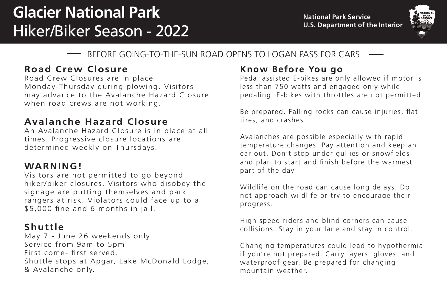# **Glacier National Park**  Hiker/Biker Season - 2022



### BEFORE GOING-TO-THE-SUN ROAD OPENS TO LOGAN PASS FOR CARS

### **Road Crew Closure**

Road Crew Closures are in place Monday-Thursday during plowing. Visitors may advance to the Avalanche Hazard Closure when road crews are not working.

#### **Avalanche Hazard Closure**

An Avalanche Hazard Closure is in place at all times. Progressive closure locations are determined weekly on Thursdays.

#### **WARNING!**

Visitors are not permitted to go beyond hiker/biker closures. Visitors who disobey the signage are putting themselves and park rangers at risk. Violators could face up to a \$5,000 fine and 6 months in jail.

#### **Shuttle**

May 7 - June 26 weekends only Service from 9am to 5pm First come- first served. Shuttle stops at Apgar, Lake McDonald Lodge, & Avalanche only.

## **Know Before You go**

Pedal assisted E-bikes are only allowed if motor is less than 750 watts and engaged only while pedaling. E-bikes with throttles are not permitted.

Be prepared. Falling rocks can cause injuries, flat tires, and crashes.

Avalanches are possible especially with rapid temperature changes. Pay attention and keep an ear out. Don't stop under gullies or snowfields and plan to start and finish before the warmest part of the day.

Wildlife on the road can cause long delays. Do not approach wildlife or try to encourage their progress.

High speed riders and blind corners can cause collisions. Stay in your lane and stay in control.

Changing temperatures could lead to hypothermia if you're not prepared. Carry layers, gloves, and waterproof gear. Be prepared for changing mountain weather.